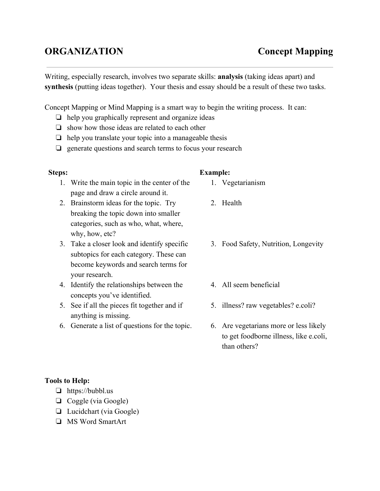## **ORGANIZATION Concept Mapping**

Writing, especially research, involves two separate skills: **analysis** (taking ideas apart) and **synthesis**(putting ideas together). Your thesis and essay should be a result of these two tasks.

Concept Mapping or Mind Mapping is a smart way to begin the writing process. It can:

- ❏ help you graphically represent and organize ideas
- ❏ show how those ideas are related to each other
- $\Box$  help you translate your topic into a manageable thesis
- ❏ generate questions and search terms to focus your research

## **Steps:**

- 1. Write the main topic in the center of the page and draw a circle around it.
- 2. Brainstorm ideas for the topic. Try breaking the topic down into smaller categories, such as who, what, where, why, how, etc?
- 3. Take a closer look and identify specific subtopics for each category. These can become keywords and search terms for your research.
- 4. Identify the relationships between the concepts you've identified.
- 5. See if all the pieces fit together and if anything is missing.
- 6. Generate a list of questions for the topic.

## **Example:**

- 1. Vegetarianism
- 2. Health
- 3. Food Safety, Nutrition, Longevity
- 4. All seem beneficial
- 5. illness? raw vegetables? e.coli?
- 6. Are vegetarians more or less likely to get foodborne illness, like e.coli, than others?

## **Tools to Help:**

- ❏ https://bubbl.us
- ❏ Coggle (via Google)
- ❏ Lucidchart (via Google)
- ❏ MS Word SmartArt